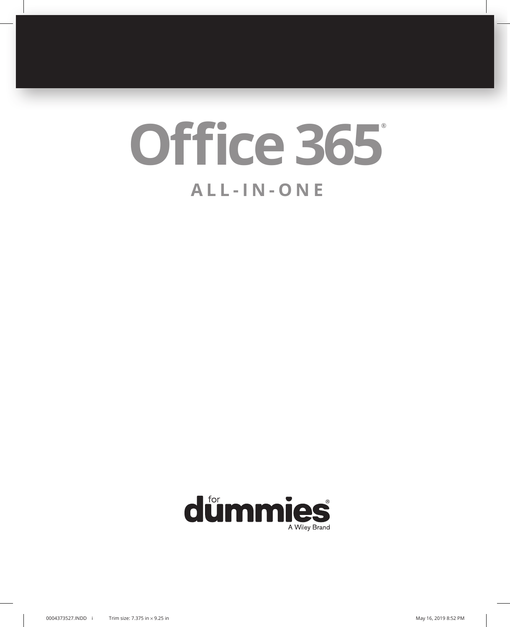



0004373527.INDD i Trim size: 7.375 in × 9.25 in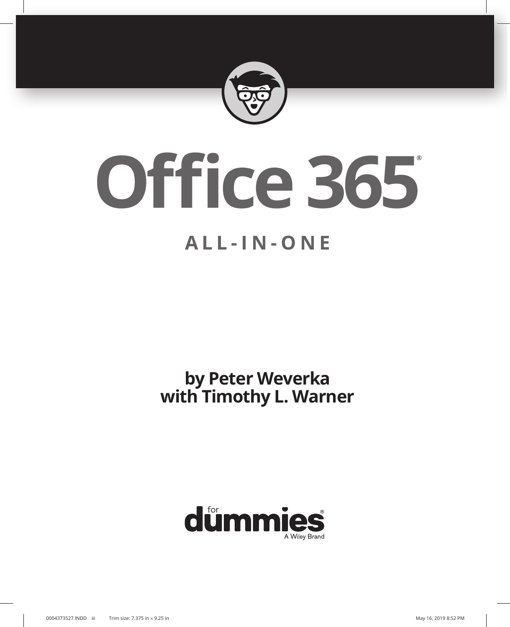

# **Office 365**

### **by Peter Weverka with Timothy L. Warner**



 $0.004373527.$  INDD iii Trim size:  $7.375$  in  $\times$  9.25 in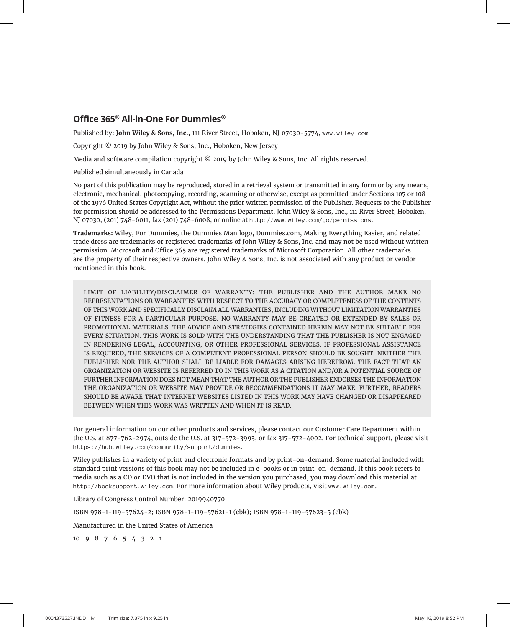#### **Office 365® All-in-One For Dummies®**

Published by: **John Wiley & Sons, Inc.,** 111 River Street, Hoboken, NJ 07030-5774, www.wiley.com

Copyright © 2019 by John Wiley & Sons, Inc., Hoboken, New Jersey

Media and software compilation copyright © 2019 by John Wiley & Sons, Inc. All rights reserved.

Published simultaneously in Canada

No part of this publication may be reproduced, stored in a retrieval system or transmitted in any form or by any means, electronic, mechanical, photocopying, recording, scanning or otherwise, except as permitted under Sections 107 or 108 of the 1976 United States Copyright Act, without the prior written permission of the Publisher. Requests to the Publisher for permission should be addressed to the Permissions Department, John Wiley & Sons, Inc., 111 River Street, Hoboken, NJ 07030, (201) 748-6011, fax (201) 748-6008, or online at http://www.wiley.com/go/permissions.

**Trademarks:** Wiley, For Dummies, the Dummies Man logo, Dummies.com, Making Everything Easier, and related trade dress are trademarks or registered trademarks of John Wiley & Sons, Inc. and may not be used without written permission. Microsoft and Office 365 are registered trademarks of Microsoft Corporation. All other trademarks are the property of their respective owners. John Wiley & Sons, Inc. is not associated with any product or vendor mentioned in this book.

LIMIT OF LIABILITY/DISCLAIMER OF WARRANTY: THE PUBLISHER AND THE AUTHOR MAKE NO REPRESENTATIONS OR WARRANTIES WITH RESPECT TO THE ACCURACY OR COMPLETENESS OF THE CONTENTS OF THIS WORK AND SPECIFICALLY DISCLAIM ALL WARRANTIES, INCLUDING WITHOUT LIMITATION WARRANTIES OF FITNESS FOR A PARTICULAR PURPOSE. NO WARRANTY MAY BE CREATED OR EXTENDED BY SALES OR PROMOTIONAL MATERIALS. THE ADVICE AND STRATEGIES CONTAINED HEREIN MAY NOT BE SUITABLE FOR EVERY SITUATION. THIS WORK IS SOLD WITH THE UNDERSTANDING THAT THE PUBLISHER IS NOT ENGAGED IN RENDERING LEGAL, ACCOUNTING, OR OTHER PROFESSIONAL SERVICES. IF PROFESSIONAL ASSISTANCE IS REQUIRED, THE SERVICES OF A COMPETENT PROFESSIONAL PERSON SHOULD BE SOUGHT. NEITHER THE PUBLISHER NOR THE AUTHOR SHALL BE LIABLE FOR DAMAGES ARISING HEREFROM. THE FACT THAT AN ORGANIZATION OR WEBSITE IS REFERRED TO IN THIS WORK AS A CITATION AND/OR A POTENTIAL SOURCE OF FURTHER INFORMATION DOES NOT MEAN THAT THE AUTHOR OR THE PUBLISHER ENDORSES THE INFORMATION THE ORGANIZATION OR WEBSITE MAY PROVIDE OR RECOMMENDATIONS IT MAY MAKE. FURTHER, READERS SHOULD BE AWARE THAT INTERNET WEBSITES LISTED IN THIS WORK MAY HAVE CHANGED OR DISAPPEARED BETWEEN WHEN THIS WORK WAS WRITTEN AND WHEN IT IS READ.

For general information on our other products and services, please contact our Customer Care Department within the U.S. at 877-762-2974, outside the U.S. at 317-572-3993, or fax 317-572-4002. For technical support, please visit https://hub.wiley.com/community/support/dummies.

Wiley publishes in a variety of print and electronic formats and by print-on-demand. Some material included with standard print versions of this book may not be included in e-books or in print-on-demand. If this book refers to media such as a CD or DVD that is not included in the version you purchased, you may download this material at http://booksupport.wiley.com. For more information about Wiley products, visit www.wiley.com.

Library of Congress Control Number: 2019940770

ISBN 978-1-119-57624-2; ISBN 978-1-119-57621-1 (ebk); ISBN 978-1-119-57623-5 (ebk)

Manufactured in the United States of America

10 9 8 7 6 5 4 3 2 1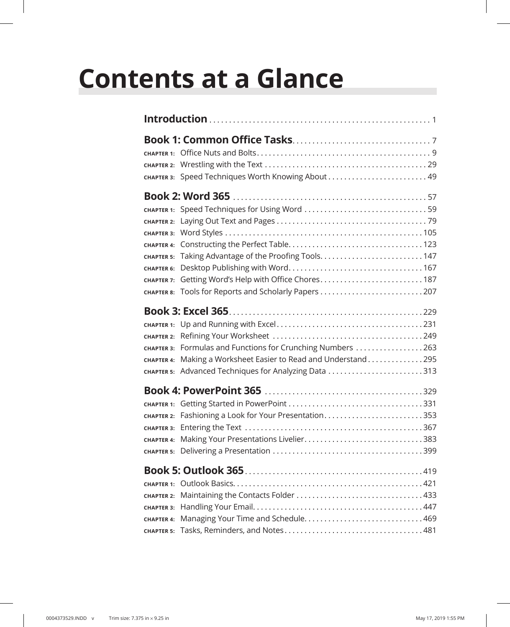## **Contents at a Glance**

| CHAPTER 3: Speed Techniques Worth Knowing About  49            |  |
|----------------------------------------------------------------|--|
|                                                                |  |
| CHAPTER 1: Speed Techniques for Using Word 59                  |  |
| <b>CHAPTER 2:</b>                                              |  |
|                                                                |  |
|                                                                |  |
|                                                                |  |
|                                                                |  |
| CHAPTER 7: Getting Word's Help with Office Chores187           |  |
| CHAPTER 8: Tools for Reports and Scholarly Papers 207          |  |
|                                                                |  |
|                                                                |  |
|                                                                |  |
| CHAPTER 3: Formulas and Functions for Crunching Numbers 263    |  |
| CHAPTER 4: Making a Worksheet Easier to Read and Understand295 |  |
| CHAPTER 5: Advanced Techniques for Analyzing Data 313          |  |
|                                                                |  |
|                                                                |  |
| CHAPTER 2: Fashioning a Look for Your Presentation353          |  |
|                                                                |  |
| CHAPTER 4: Making Your Presentations Livelier383               |  |
|                                                                |  |
|                                                                |  |
|                                                                |  |
| CHAPTER 2: Maintaining the Contacts Folder 433                 |  |
|                                                                |  |
| CHAPTER 4: Managing Your Time and Schedule469                  |  |
| <b>CHAPTER 5:</b>                                              |  |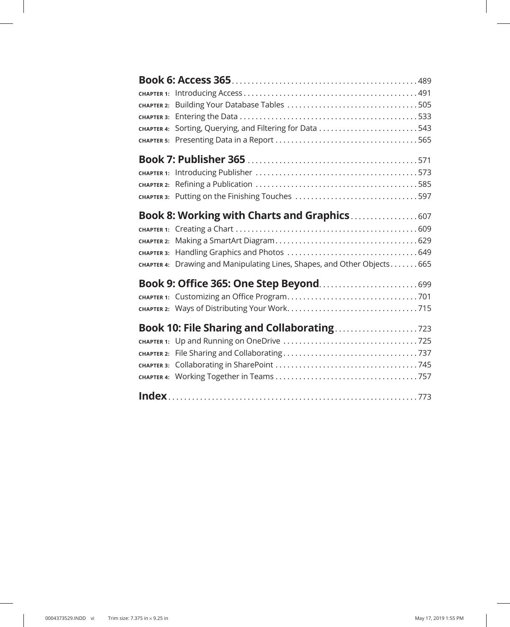| CHAPTER 3: Putting on the Finishing Touches 597                                                                                                                   |
|-------------------------------------------------------------------------------------------------------------------------------------------------------------------|
| Book 8: Working with Charts and Graphics 607<br><b>CHAPTER 2:</b><br><b>CHAPTER 3:</b><br>CHAPTER 4: Drawing and Manipulating Lines, Shapes, and Other Objects665 |
|                                                                                                                                                                   |
| <b>CHAPTER 2:</b><br><b>CHAPTER 3:</b>                                                                                                                            |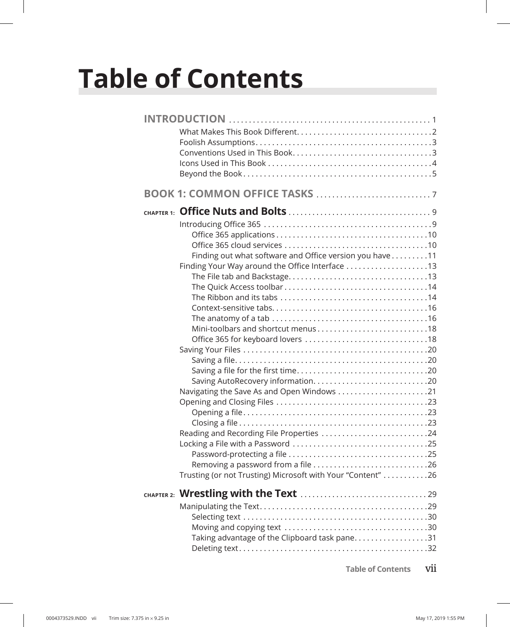## **Table of Contents**

 $\overline{\phantom{a}}$ 

| Finding out what software and Office version you have11<br>Finding Your Way around the Office Interface 13<br>Mini-toolbars and shortcut menus18<br>Navigating the Save As and Open Windows 21<br>Reading and Recording File Properties 24<br>Removing a password from a file 26<br>Trusting (or not Trusting) Microsoft with Your "Content" 26 |  |
|-------------------------------------------------------------------------------------------------------------------------------------------------------------------------------------------------------------------------------------------------------------------------------------------------------------------------------------------------|--|
| Taking advantage of the Clipboard task pane31                                                                                                                                                                                                                                                                                                   |  |

Table of Contents vii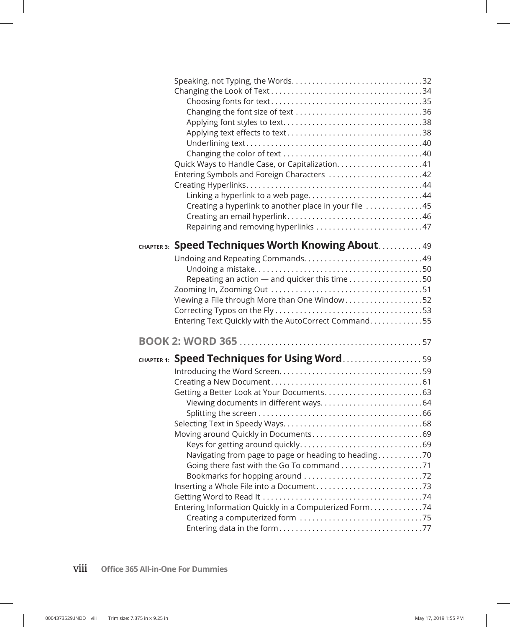| Entering Symbols and Foreign Characters 42<br>Linking a hyperlink to a web page44<br>Creating a hyperlink to another place in your file 45<br>Repairing and removing hyperlinks 47                            |  |
|---------------------------------------------------------------------------------------------------------------------------------------------------------------------------------------------------------------|--|
| CHAPTER 3: Speed Techniques Worth Knowing About 49<br>Repeating an action — and quicker this time 50<br>Viewing a File through More than One Window52<br>Entering Text Quickly with the AutoCorrect Command55 |  |
|                                                                                                                                                                                                               |  |
| CHAPTER 1: Speed Techniques for Using Word 59<br>Navigating from page to page or heading to heading70<br>Going there fast with the Go To command71<br>Entering Information Quickly in a Computerized Form. 74 |  |

 $\mathcal{L}$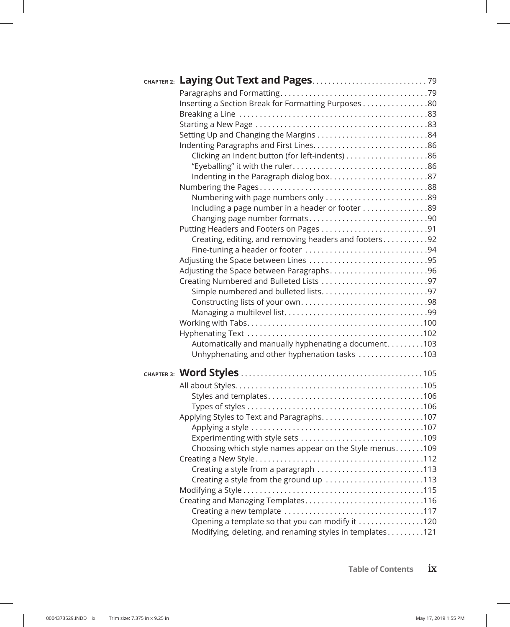| Inserting a Section Break for Formatting Purposes80      |  |
|----------------------------------------------------------|--|
|                                                          |  |
|                                                          |  |
| Setting Up and Changing the Margins 84                   |  |
|                                                          |  |
|                                                          |  |
|                                                          |  |
| Indenting in the Paragraph dialog box87                  |  |
|                                                          |  |
| Numbering with page numbers only 89                      |  |
| Including a page number in a header or footer 89         |  |
|                                                          |  |
| Putting Headers and Footers on Pages 91                  |  |
| Creating, editing, and removing headers and footers92    |  |
|                                                          |  |
|                                                          |  |
| Adjusting the Space between Paragraphs96                 |  |
|                                                          |  |
|                                                          |  |
|                                                          |  |
|                                                          |  |
|                                                          |  |
|                                                          |  |
| Automatically and manually hyphenating a document103     |  |
| Unhyphenating and other hyphenation tasks 103            |  |
|                                                          |  |
|                                                          |  |
|                                                          |  |
|                                                          |  |
| Applying Styles to Text and Paragraphs107                |  |
|                                                          |  |
|                                                          |  |
| Choosing which style names appear on the Style menus109  |  |
|                                                          |  |
| Creating a style from a paragraph 113                    |  |
| Creating a style from the ground up 113                  |  |
|                                                          |  |
| Creating and Managing Templates116                       |  |
|                                                          |  |
| Opening a template so that you can modify it 120         |  |
| Modifying, deleting, and renaming styles in templates121 |  |

**Table of Contents** ix

 $\overline{\phantom{a}}$ 

 $\mathcal{L}$ 

 $\overline{\phantom{a}}$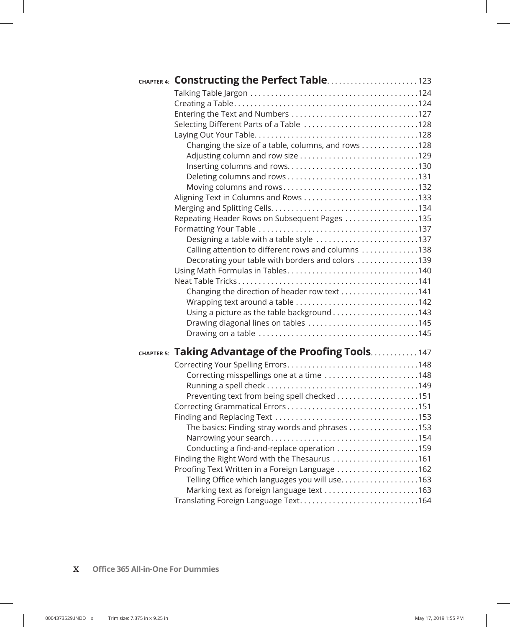| CHAPTER 4: Constructing the Perfect Table 123          |  |
|--------------------------------------------------------|--|
|                                                        |  |
|                                                        |  |
|                                                        |  |
| Selecting Different Parts of a Table 128               |  |
|                                                        |  |
| Changing the size of a table, columns, and rows 128    |  |
|                                                        |  |
|                                                        |  |
|                                                        |  |
|                                                        |  |
| Aligning Text in Columns and Rows 133                  |  |
|                                                        |  |
| Repeating Header Rows on Subsequent Pages 135          |  |
|                                                        |  |
| Designing a table with a table style 137               |  |
| Calling attention to different rows and columns 138    |  |
| Decorating your table with borders and colors 139      |  |
|                                                        |  |
|                                                        |  |
| Changing the direction of header row text 141          |  |
|                                                        |  |
|                                                        |  |
| Drawing diagonal lines on tables 145                   |  |
|                                                        |  |
| CHAPTER 5: Taking Advantage of the Proofing Tools. 147 |  |
|                                                        |  |
| Correcting misspellings one at a time 148              |  |
|                                                        |  |
| Preventing text from being spell checked 151           |  |
|                                                        |  |
|                                                        |  |
| The basics: Finding stray words and phrases 153        |  |
|                                                        |  |
| Conducting a find-and-replace operation 159            |  |
| Finding the Right Word with the Thesaurus 161          |  |
| Proofing Text Written in a Foreign Language 162        |  |
| Telling Office which languages you will use. 163       |  |
| Marking text as foreign language text 163              |  |
| Translating Foreign Language Text164                   |  |

x **Office 365 All-in-One For Dummies**

 $\overline{\phantom{a}}$ 

 $\mathcal{L}$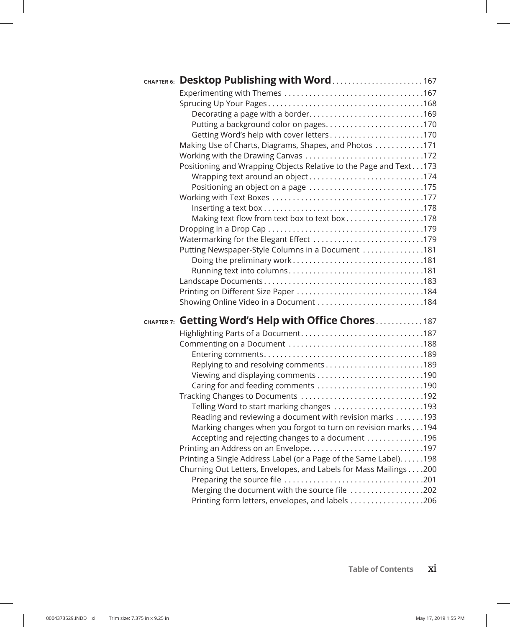| CHAPTER 6: Desktop Publishing with Word 167                        |  |
|--------------------------------------------------------------------|--|
|                                                                    |  |
|                                                                    |  |
|                                                                    |  |
|                                                                    |  |
| Getting Word's help with cover letters170                          |  |
| Making Use of Charts, Diagrams, Shapes, and Photos 171             |  |
| Working with the Drawing Canvas 172                                |  |
| Positioning and Wrapping Objects Relative to the Page and Text173  |  |
|                                                                    |  |
| Positioning an object on a page 175                                |  |
|                                                                    |  |
|                                                                    |  |
| Making text flow from text box to text box 178                     |  |
|                                                                    |  |
| Watermarking for the Elegant Effect 179                            |  |
| Putting Newspaper-Style Columns in a Document 181                  |  |
|                                                                    |  |
|                                                                    |  |
|                                                                    |  |
|                                                                    |  |
| Showing Online Video in a Document 184                             |  |
| CHAPTER 7: Getting Word's Help with Office Chores187               |  |
| Highlighting Parts of a Document187                                |  |
|                                                                    |  |
|                                                                    |  |
| Replying to and resolving comments189                              |  |
|                                                                    |  |
| Caring for and feeding comments 190                                |  |
|                                                                    |  |
| Telling Word to start marking changes 193                          |  |
| Reading and reviewing a document with revision marks 193           |  |
| Marking changes when you forgot to turn on revision marks 194      |  |
| Accepting and rejecting changes to a document 196                  |  |
|                                                                    |  |
| Printing a Single Address Label (or a Page of the Same Label). 198 |  |
| Churning Out Letters, Envelopes, and Labels for Mass Mailings 200  |  |
|                                                                    |  |
| Merging the document with the source file 202                      |  |
| Printing form letters, envelopes, and labels 206                   |  |

 $\mathcal{L}$ 

 $\overline{\phantom{a}}$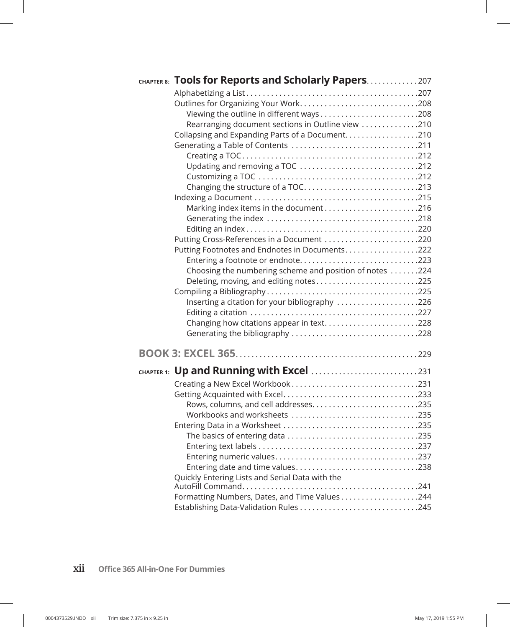| CHAPTER 8: Tools for Reports and Scholarly Papers207    |  |
|---------------------------------------------------------|--|
|                                                         |  |
|                                                         |  |
|                                                         |  |
| Rearranging document sections in Outline view 210       |  |
| Collapsing and Expanding Parts of a Document210         |  |
|                                                         |  |
|                                                         |  |
| Updating and removing a TOC 212                         |  |
|                                                         |  |
|                                                         |  |
|                                                         |  |
|                                                         |  |
|                                                         |  |
|                                                         |  |
| Putting Cross-References in a Document 220              |  |
| Putting Footnotes and Endnotes in Documents222          |  |
| Choosing the numbering scheme and position of notes 224 |  |
|                                                         |  |
| Deleting, moving, and editing notes225                  |  |
| Inserting a citation for your bibliography 226          |  |
|                                                         |  |
| Changing how citations appear in text228                |  |
|                                                         |  |
|                                                         |  |
|                                                         |  |
|                                                         |  |
|                                                         |  |
|                                                         |  |
|                                                         |  |
| Workbooks and worksheets 235                            |  |
|                                                         |  |
|                                                         |  |
|                                                         |  |
|                                                         |  |
| Entering date and time values238                        |  |
| Quickly Entering Lists and Serial Data with the         |  |
|                                                         |  |
|                                                         |  |
|                                                         |  |

xii **Office 365 All-in-One For Dummies**

 $\overline{\phantom{a}}$ 

 $\mathcal{L}$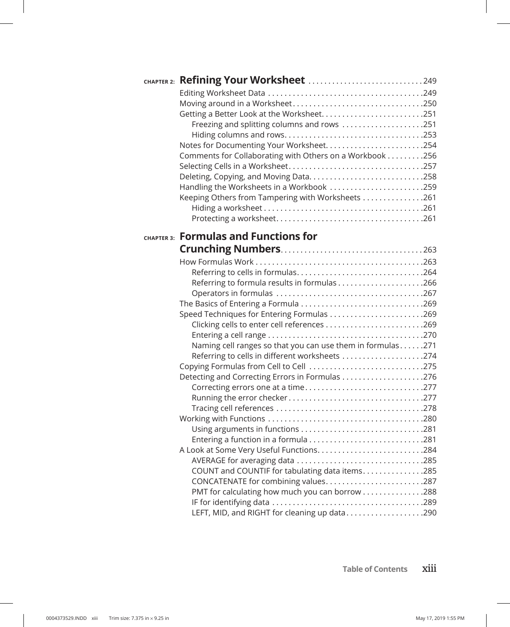| Moving around in a Worksheet250                            |  |
|------------------------------------------------------------|--|
|                                                            |  |
| Freezing and splitting columns and rows 251                |  |
|                                                            |  |
| Comments for Collaborating with Others on a Workbook 256   |  |
|                                                            |  |
|                                                            |  |
| Handling the Worksheets in a Workbook 259                  |  |
| Keeping Others from Tampering with Worksheets 261          |  |
|                                                            |  |
|                                                            |  |
| CHAPTER 3: Formulas and Functions for                      |  |
|                                                            |  |
|                                                            |  |
|                                                            |  |
|                                                            |  |
|                                                            |  |
| The Basics of Entering a Formula 269                       |  |
| Speed Techniques for Entering Formulas 269                 |  |
|                                                            |  |
| Naming cell ranges so that you can use them in formulas271 |  |
|                                                            |  |
|                                                            |  |
| Detecting and Correcting Errors in Formulas 276            |  |
| Correcting errors one at a time277                         |  |
|                                                            |  |
|                                                            |  |
|                                                            |  |
|                                                            |  |
|                                                            |  |
|                                                            |  |
| COUNT and COUNTIF for tabulating data items285             |  |
| CONCATENATE for combining values287                        |  |
| PMT for calculating how much you can borrow 288            |  |
|                                                            |  |
| LEFT, MID, and RIGHT for cleaning up data290               |  |

 $\mathbf{I}$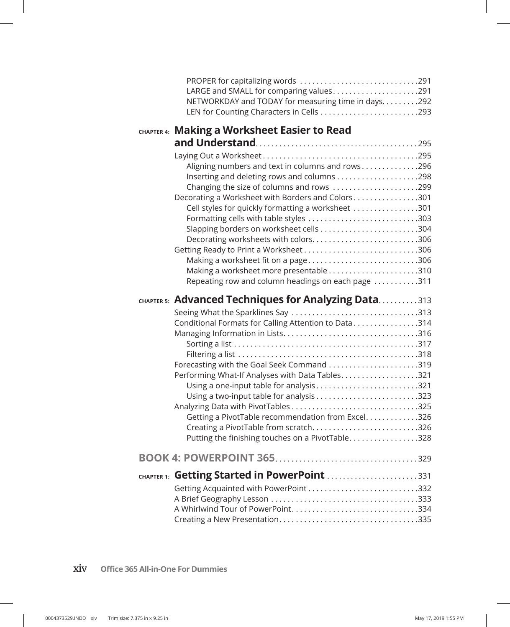| LARGE and SMALL for comparing values291<br>NETWORKDAY and TODAY for measuring time in days. 292<br>LEN for Counting Characters in Cells 293                                                                                                                                                                                                                                                                                              |
|------------------------------------------------------------------------------------------------------------------------------------------------------------------------------------------------------------------------------------------------------------------------------------------------------------------------------------------------------------------------------------------------------------------------------------------|
| CHAPTER 4: Making a Worksheet Easier to Read<br>Aligning numbers and text in columns and rows296<br>Changing the size of columns and rows 299<br>Decorating a Worksheet with Borders and Colors301<br>Cell styles for quickly formatting a worksheet 301<br>Formatting cells with table styles 303<br>Getting Ready to Print a Worksheet306<br>Making a worksheet fit on a page306<br>Repeating row and column headings on each page 311 |
| CHAPTER 5: Advanced Techniques for Analyzing Data313<br>Conditional Formats for Calling Attention to Data314<br>Performing What-If Analyses with Data Tables. 321<br>Using a one-input table for analysis321<br>Getting a PivotTable recommendation from Excel. 326<br>Creating a PivotTable from scratch326<br>Putting the finishing touches on a PivotTable328                                                                         |
|                                                                                                                                                                                                                                                                                                                                                                                                                                          |
| CHAPTER 1: Getting Started in PowerPoint 331<br>A Whirlwind Tour of PowerPoint334                                                                                                                                                                                                                                                                                                                                                        |

xiv **Office 365 All-in-One For Dummies**

 $\overline{\phantom{a}}$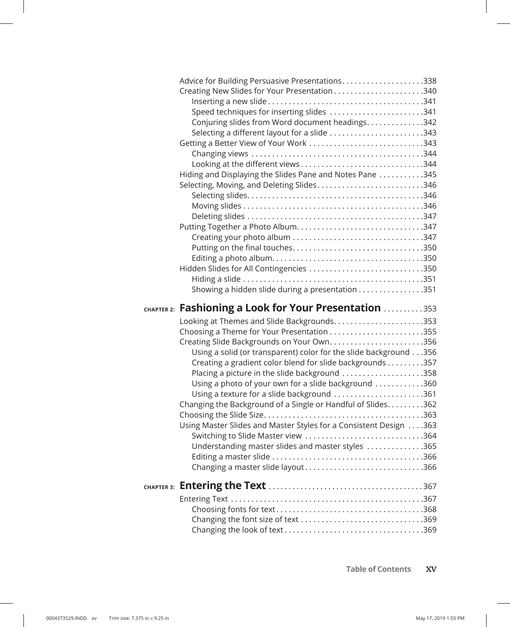| Advice for Building Persuasive Presentations338                   |  |
|-------------------------------------------------------------------|--|
|                                                                   |  |
|                                                                   |  |
| Speed techniques for inserting slides 341                         |  |
| Conjuring slides from Word document headings. 342                 |  |
| Selecting a different layout for a slide 343                      |  |
| Getting a Better View of Your Work 343                            |  |
|                                                                   |  |
|                                                                   |  |
| Hiding and Displaying the Slides Pane and Notes Pane 345          |  |
| Selecting, Moving, and Deleting Slides346                         |  |
|                                                                   |  |
|                                                                   |  |
|                                                                   |  |
| Putting Together a Photo Album347                                 |  |
|                                                                   |  |
|                                                                   |  |
|                                                                   |  |
| Hidden Slides for All Contingencies 350                           |  |
|                                                                   |  |
| Showing a hidden slide during a presentation 351                  |  |
|                                                                   |  |
| CHAPTER 2: Fashioning a Look for Your Presentation 353            |  |
|                                                                   |  |
|                                                                   |  |
|                                                                   |  |
| Using a solid (or transparent) color for the slide background356  |  |
| Creating a gradient color blend for slide backgrounds 357         |  |
| Placing a picture in the slide background 358                     |  |
| Using a photo of your own for a slide background 360              |  |
| Using a texture for a slide background 361                        |  |
| Changing the Background of a Single or Handful of Slides. 362     |  |
| Using Master Slides and Master Styles for a Consistent Design 363 |  |
| Switching to Slide Master view 364                                |  |
| Understanding master slides and master styles 365                 |  |
|                                                                   |  |
| Changing a master slide layout366                                 |  |
|                                                                   |  |
|                                                                   |  |
|                                                                   |  |
|                                                                   |  |
|                                                                   |  |
|                                                                   |  |
|                                                                   |  |

**Table of Contents** xv

 $\overline{\phantom{a}}$ 

 $\mathbb{R}^2$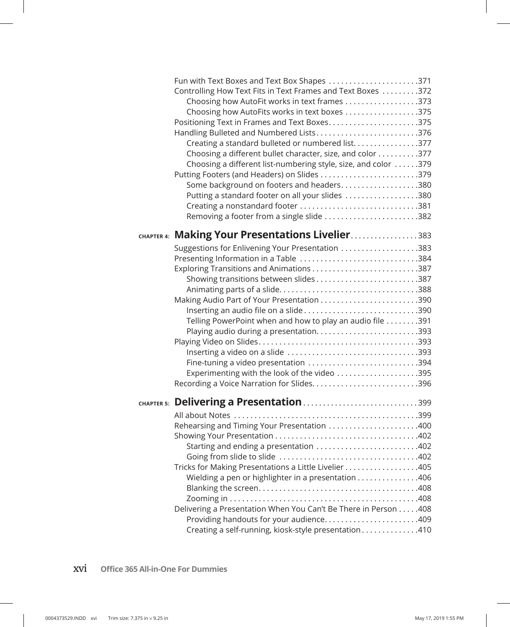| Fun with Text Boxes and Text Box Shapes 371                     |  |
|-----------------------------------------------------------------|--|
| Controlling How Text Fits in Text Frames and Text Boxes 372     |  |
| Choosing how AutoFit works in text frames 373                   |  |
| Choosing how AutoFits works in text boxes 375                   |  |
|                                                                 |  |
| Handling Bulleted and Numbered Lists376                         |  |
| Creating a standard bulleted or numbered list. 377              |  |
| Choosing a different bullet character, size, and color 377      |  |
| Choosing a different list-numbering style, size, and color 379  |  |
|                                                                 |  |
| Some background on footers and headers380                       |  |
| Putting a standard footer on all your slides 380                |  |
| Creating a nonstandard footer 381                               |  |
| Removing a footer from a single slide 382                       |  |
| CHAPTER 4: Making Your Presentations Livelier383                |  |
| Suggestions for Enlivening Your Presentation 383                |  |
| Presenting Information in a Table 384                           |  |
|                                                                 |  |
| Showing transitions between slides387                           |  |
|                                                                 |  |
|                                                                 |  |
|                                                                 |  |
| Telling PowerPoint when and how to play an audio file 391       |  |
| Playing audio during a presentation393                          |  |
|                                                                 |  |
|                                                                 |  |
| Fine-tuning a video presentation 394                            |  |
|                                                                 |  |
|                                                                 |  |
| CHAPTER 5: Delivering a Presentation399                         |  |
|                                                                 |  |
| Rehearsing and Timing Your Presentation 400                     |  |
|                                                                 |  |
| Starting and ending a presentation 402                          |  |
|                                                                 |  |
| Tricks for Making Presentations a Little Livelier 405           |  |
| Wielding a pen or highlighter in a presentation 406             |  |
|                                                                 |  |
|                                                                 |  |
| Delivering a Presentation When You Can't Be There in Person 408 |  |
|                                                                 |  |
| Creating a self-running, kiosk-style presentation410            |  |
|                                                                 |  |

xvi **Office 365 All-in-One For Dummies**

 $\overline{\phantom{a}}$ 

 $\overline{\phantom{a}}$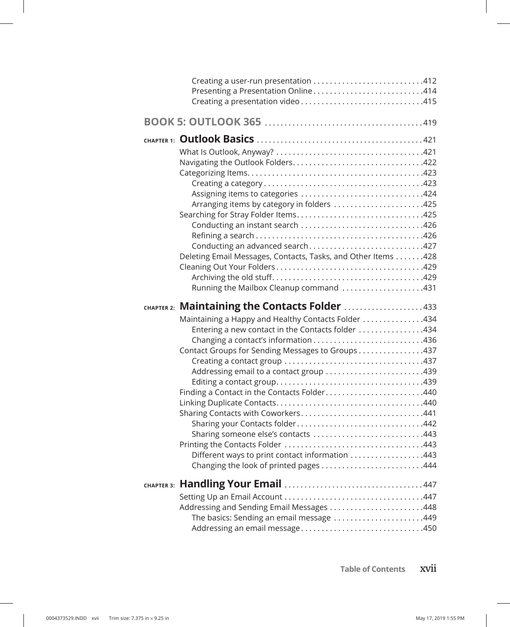| Presenting a Presentation Online414<br>Creating a presentation video415                                                                                                                                                                                                                                                                                                                                                                                                                                                |  |
|------------------------------------------------------------------------------------------------------------------------------------------------------------------------------------------------------------------------------------------------------------------------------------------------------------------------------------------------------------------------------------------------------------------------------------------------------------------------------------------------------------------------|--|
|                                                                                                                                                                                                                                                                                                                                                                                                                                                                                                                        |  |
| Assigning items to categories 424<br>Arranging items by category in folders 425<br>Conducting an instant search 426<br>Conducting an advanced search427<br>Deleting Email Messages, Contacts, Tasks, and Other Items 428<br>Running the Mailbox Cleanup command 431                                                                                                                                                                                                                                                    |  |
| CHAPTER 2: Maintaining the Contacts Folder  433<br>Maintaining a Happy and Healthy Contacts Folder 434<br>Entering a new contact in the Contacts folder 434<br>Contact Groups for Sending Messages to Groups437<br>Addressing email to a contact group 439<br>Finding a Contact in the Contacts Folder440<br>Sharing Contacts with Coworkers441<br>Sharing your Contacts folder442<br>Sharing someone else's contacts 443<br>Different ways to print contact information 443<br>Changing the look of printed pages 444 |  |
| The basics: Sending an email message 449                                                                                                                                                                                                                                                                                                                                                                                                                                                                               |  |

**Table of Contents** xvii

 $\overline{\phantom{a}}$ 

 $\mathcal{L}$ 

 $\begin{array}{c} \hline \end{array}$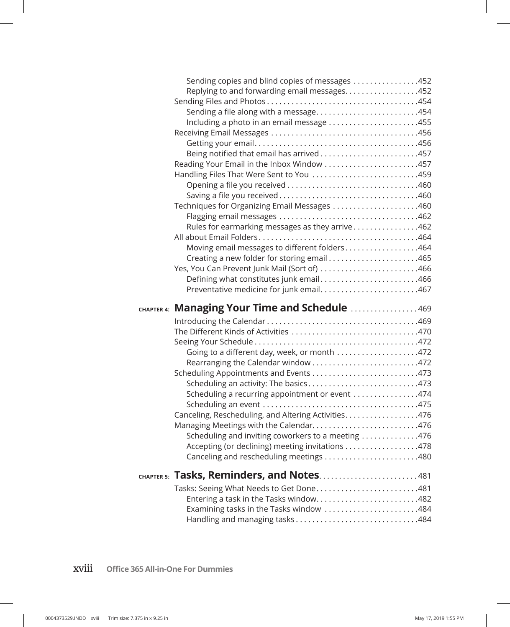| Sending copies and blind copies of messages 452<br>Replying to and forwarding email messages. 452<br>Sending a file along with a message454<br>Reading Your Email in the Inbox Window 457<br>Handling Files That Were Sent to You 459<br>Techniques for Organizing Email Messages 460<br>Rules for earmarking messages as they arrive462<br>Moving email messages to different folders464<br>Creating a new folder for storing email465<br>Yes, You Can Prevent Junk Mail (Sort of) 466<br>Defining what constitutes junk email466<br>Preventative medicine for junk email467 |  |
|-------------------------------------------------------------------------------------------------------------------------------------------------------------------------------------------------------------------------------------------------------------------------------------------------------------------------------------------------------------------------------------------------------------------------------------------------------------------------------------------------------------------------------------------------------------------------------|--|
| CHAPTER 4: Managing Your Time and Schedule 469                                                                                                                                                                                                                                                                                                                                                                                                                                                                                                                                |  |
|                                                                                                                                                                                                                                                                                                                                                                                                                                                                                                                                                                               |  |
|                                                                                                                                                                                                                                                                                                                                                                                                                                                                                                                                                                               |  |
|                                                                                                                                                                                                                                                                                                                                                                                                                                                                                                                                                                               |  |
| Going to a different day, week, or month 472                                                                                                                                                                                                                                                                                                                                                                                                                                                                                                                                  |  |
|                                                                                                                                                                                                                                                                                                                                                                                                                                                                                                                                                                               |  |
| Scheduling an activity: The basics473                                                                                                                                                                                                                                                                                                                                                                                                                                                                                                                                         |  |
| Scheduling a recurring appointment or event 474                                                                                                                                                                                                                                                                                                                                                                                                                                                                                                                               |  |
|                                                                                                                                                                                                                                                                                                                                                                                                                                                                                                                                                                               |  |
| Canceling, Rescheduling, and Altering Activities476                                                                                                                                                                                                                                                                                                                                                                                                                                                                                                                           |  |
| Scheduling and inviting coworkers to a meeting 476                                                                                                                                                                                                                                                                                                                                                                                                                                                                                                                            |  |
| Accepting (or declining) meeting invitations 478                                                                                                                                                                                                                                                                                                                                                                                                                                                                                                                              |  |
|                                                                                                                                                                                                                                                                                                                                                                                                                                                                                                                                                                               |  |
| CHAPTER 5: Tasks, Reminders, and Notes481                                                                                                                                                                                                                                                                                                                                                                                                                                                                                                                                     |  |
| Tasks: Seeing What Needs to Get Done481                                                                                                                                                                                                                                                                                                                                                                                                                                                                                                                                       |  |
| Entering a task in the Tasks window482                                                                                                                                                                                                                                                                                                                                                                                                                                                                                                                                        |  |
| Examining tasks in the Tasks window 484                                                                                                                                                                                                                                                                                                                                                                                                                                                                                                                                       |  |

xviii **Office 365 All-in-One For Dummies**

 $\overline{\phantom{a}}$ 

 $\mathcal{L}$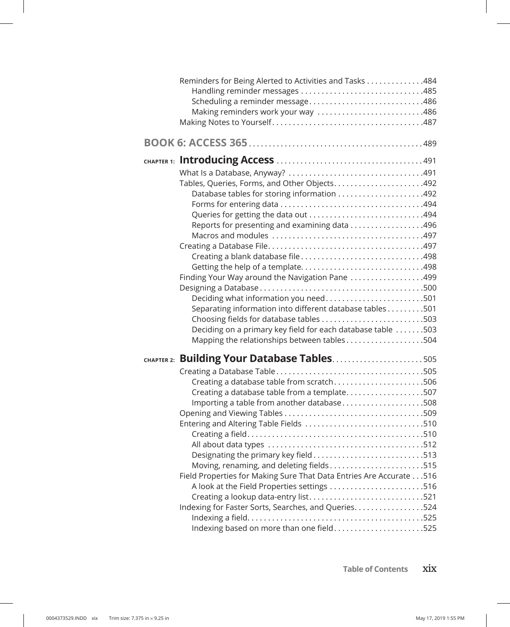| Reminders for Being Alerted to Activities and Tasks 484<br>Handling reminder messages 485<br>Scheduling a reminder message486<br>Making reminders work your way 486                                                                                                                                                                                                                                                                                                                              |  |
|--------------------------------------------------------------------------------------------------------------------------------------------------------------------------------------------------------------------------------------------------------------------------------------------------------------------------------------------------------------------------------------------------------------------------------------------------------------------------------------------------|--|
|                                                                                                                                                                                                                                                                                                                                                                                                                                                                                                  |  |
|                                                                                                                                                                                                                                                                                                                                                                                                                                                                                                  |  |
| Queries for getting the data out 494<br>Reports for presenting and examining data 496<br>Creating a blank database file498<br>Finding Your Way around the Navigation Pane 499<br>Deciding what information you need501<br>Separating information into different database tables 501<br>Choosing fields for database tables 503<br>Deciding on a primary key field for each database table 503                                                                                                    |  |
| CHAPTER 2: Building Your Database Tables505                                                                                                                                                                                                                                                                                                                                                                                                                                                      |  |
| Creating a database table from scratch506<br>Creating a database table from a template507<br>Importing a table from another database508<br>Entering and Altering Table Fields 510<br>Designating the primary key field513<br>Moving, renaming, and deleting fields515<br>Field Properties for Making Sure That Data Entries Are Accurate 516<br>A look at the Field Properties settings 516<br>Indexing for Faster Sorts, Searches, and Queries. 524<br>Indexing based on more than one field525 |  |

**Table of Contents** xix

 $\overline{\phantom{a}}$ 

 $\mathcal{L}$ 

 $\overline{\phantom{a}}$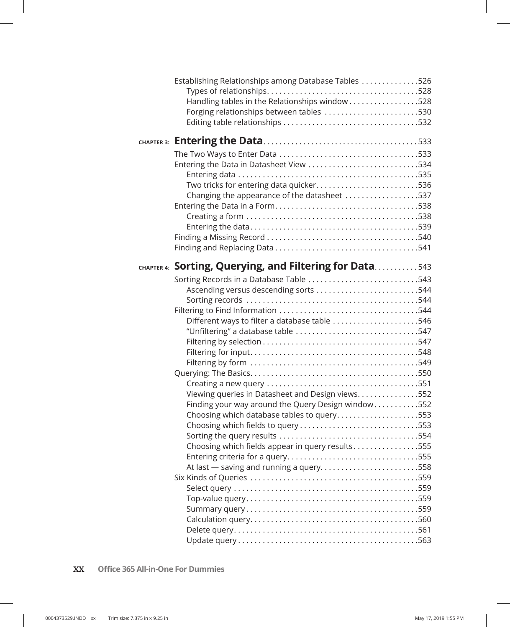| Establishing Relationships among Database Tables 526    |  |
|---------------------------------------------------------|--|
|                                                         |  |
| Handling tables in the Relationships window 528         |  |
| Forging relationships between tables 530                |  |
|                                                         |  |
|                                                         |  |
|                                                         |  |
|                                                         |  |
|                                                         |  |
| Two tricks for entering data quicker536                 |  |
| Changing the appearance of the datasheet 537            |  |
|                                                         |  |
|                                                         |  |
|                                                         |  |
|                                                         |  |
|                                                         |  |
| CHAPTER 4: Sorting, Querying, and Filtering for Data543 |  |
| Sorting Records in a Database Table 543                 |  |
| Ascending versus descending sorts 544                   |  |
|                                                         |  |
|                                                         |  |
| Different ways to filter a database table 546           |  |
|                                                         |  |
|                                                         |  |
|                                                         |  |
|                                                         |  |
|                                                         |  |
| Viewing queries in Datasheet and Design views. 552      |  |
| Finding your way around the Query Design window552      |  |
| Choosing which database tables to query553              |  |
|                                                         |  |
|                                                         |  |
| Choosing which fields appear in query results555        |  |
| Entering criteria for a query555                        |  |
| At last - saving and running a query558                 |  |
|                                                         |  |
|                                                         |  |
|                                                         |  |
|                                                         |  |
|                                                         |  |
|                                                         |  |
|                                                         |  |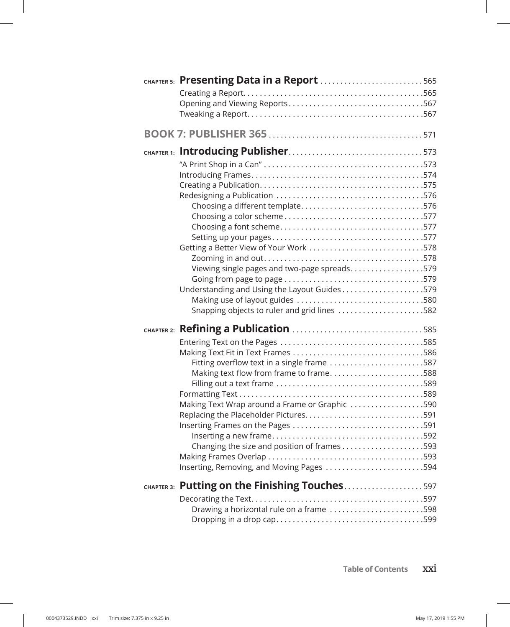| Opening and Viewing Reports567<br>Choosing a different template576 |
|--------------------------------------------------------------------|
|                                                                    |
|                                                                    |
|                                                                    |
|                                                                    |
|                                                                    |
|                                                                    |
|                                                                    |
|                                                                    |
|                                                                    |
|                                                                    |
|                                                                    |
|                                                                    |
|                                                                    |
| Getting a Better View of Your Work 578                             |
| Viewing single pages and two-page spreads579                       |
|                                                                    |
| Understanding and Using the Layout Guides579                       |
|                                                                    |
| Snapping objects to ruler and grid lines 582                       |
|                                                                    |
|                                                                    |
|                                                                    |
| Fitting overflow text in a single frame 587                        |
| Making text flow from frame to frame588                            |
|                                                                    |
|                                                                    |
| Making Text Wrap around a Frame or Graphic 590                     |
|                                                                    |
|                                                                    |
|                                                                    |
|                                                                    |
| Changing the size and position of frames593                        |
|                                                                    |
| Inserting, Removing, and Moving Pages 594                          |
| CHAPTER 3: Putting on the Finishing Touches597                     |
|                                                                    |
| Drawing a horizontal rule on a frame 598                           |
|                                                                    |

 $\mathcal{L}$ 

 $\overline{\phantom{a}}$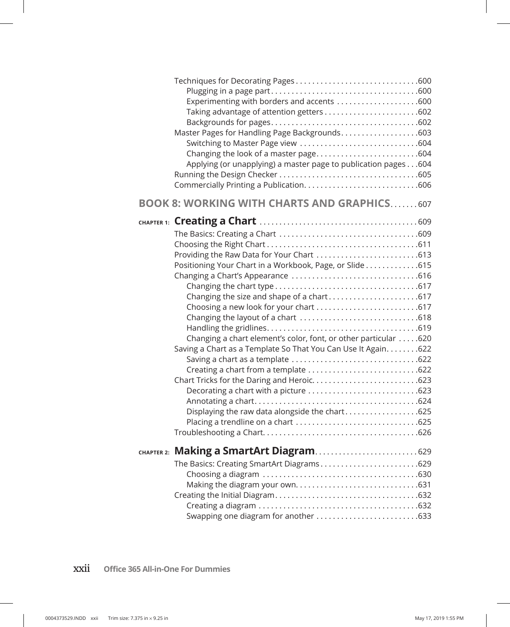|                   | Experimenting with borders and accents 600<br>Master Pages for Handling Page Backgrounds603<br>Applying (or unapplying) a master page to publication pages 604 |  |
|-------------------|----------------------------------------------------------------------------------------------------------------------------------------------------------------|--|
|                   |                                                                                                                                                                |  |
|                   | <b>BOOK 8: WORKING WITH CHARTS AND GRAPHICS607</b>                                                                                                             |  |
|                   |                                                                                                                                                                |  |
|                   |                                                                                                                                                                |  |
|                   |                                                                                                                                                                |  |
|                   | Positioning Your Chart in a Workbook, Page, or Slide 615                                                                                                       |  |
|                   |                                                                                                                                                                |  |
|                   |                                                                                                                                                                |  |
|                   |                                                                                                                                                                |  |
|                   |                                                                                                                                                                |  |
|                   |                                                                                                                                                                |  |
|                   |                                                                                                                                                                |  |
|                   | Changing a chart element's color, font, or other particular 620                                                                                                |  |
|                   | Saving a Chart as a Template So That You Can Use It Again. 622                                                                                                 |  |
|                   |                                                                                                                                                                |  |
|                   |                                                                                                                                                                |  |
|                   |                                                                                                                                                                |  |
|                   |                                                                                                                                                                |  |
|                   | Displaying the raw data alongside the chart625                                                                                                                 |  |
|                   |                                                                                                                                                                |  |
|                   |                                                                                                                                                                |  |
| <b>CHAPTER 2:</b> | Making a SmartArt Diagram 629                                                                                                                                  |  |
|                   | The Basics: Creating SmartArt Diagrams629                                                                                                                      |  |
|                   |                                                                                                                                                                |  |
|                   |                                                                                                                                                                |  |
|                   |                                                                                                                                                                |  |
|                   |                                                                                                                                                                |  |
|                   |                                                                                                                                                                |  |

xxii **Office 365 All-in-One For Dummies**

 $\overline{\phantom{a}}$ 

 $\mathbf{I}$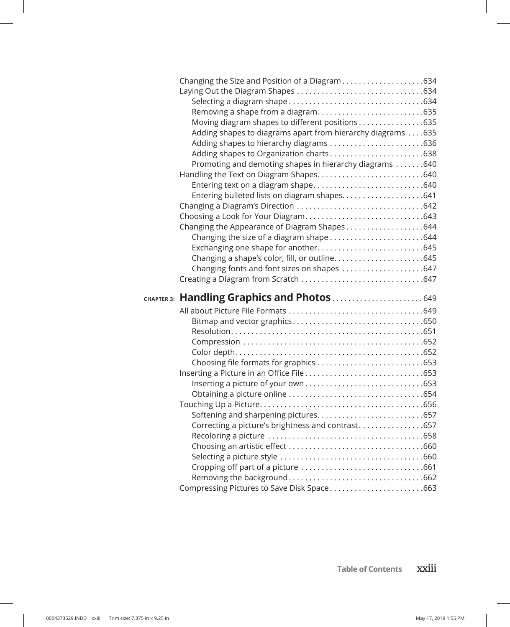| Moving diagram shapes to different positions635             |  |
|-------------------------------------------------------------|--|
| Adding shapes to diagrams apart from hierarchy diagrams 635 |  |
|                                                             |  |
| Adding shapes to Organization charts638                     |  |
| Promoting and demoting shapes in hierarchy diagrams 640     |  |
|                                                             |  |
|                                                             |  |
|                                                             |  |
|                                                             |  |
|                                                             |  |
| Changing the Appearance of Diagram Shapes644                |  |
| Changing the size of a diagram shape644                     |  |
|                                                             |  |
|                                                             |  |
| Changing fonts and font sizes on shapes 647                 |  |
|                                                             |  |
|                                                             |  |
|                                                             |  |
|                                                             |  |
|                                                             |  |
|                                                             |  |
|                                                             |  |
|                                                             |  |
|                                                             |  |
|                                                             |  |
|                                                             |  |
|                                                             |  |
|                                                             |  |
|                                                             |  |
| Correcting a picture's brightness and contrast657           |  |
|                                                             |  |
|                                                             |  |
|                                                             |  |
|                                                             |  |
|                                                             |  |

 $\overline{\phantom{a}}$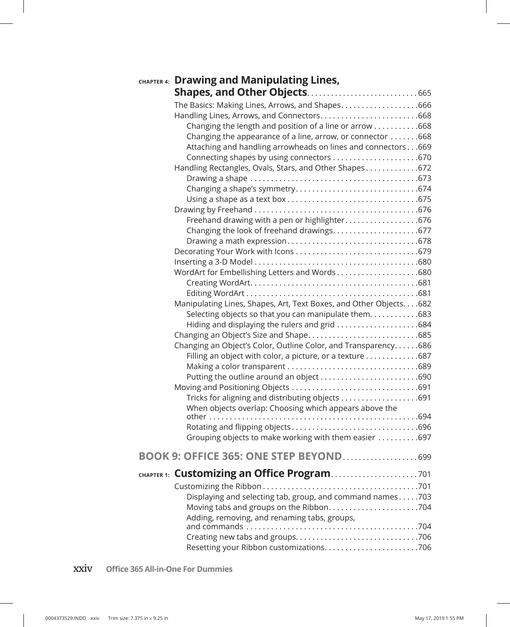| CHAPTER 4: Drawing and Manipulating Lines,                          |  |
|---------------------------------------------------------------------|--|
|                                                                     |  |
| The Basics: Making Lines, Arrows, and Shapes666                     |  |
|                                                                     |  |
| Changing the length and position of a line or arrow 668             |  |
| Changing the appearance of a line, arrow, or connector 668          |  |
| Attaching and handling arrowheads on lines and connectors669        |  |
|                                                                     |  |
| Handling Rectangles, Ovals, Stars, and Other Shapes672              |  |
|                                                                     |  |
|                                                                     |  |
|                                                                     |  |
|                                                                     |  |
| Freehand drawing with a pen or highlighter676                       |  |
|                                                                     |  |
|                                                                     |  |
|                                                                     |  |
| WordArt for Embellishing Letters and Words680                       |  |
|                                                                     |  |
|                                                                     |  |
| Manipulating Lines, Shapes, Art, Text Boxes, and Other Objects. 682 |  |
| Selecting objects so that you can manipulate them. 683              |  |
| Hiding and displaying the rulers and grid 684                       |  |
|                                                                     |  |
| Changing an Object's Color, Outline Color, and Transparency. 686    |  |
| Filling an object with color, a picture, or a texture 687           |  |
|                                                                     |  |
|                                                                     |  |
|                                                                     |  |
| When objects overlap: Choosing which appears above the              |  |
|                                                                     |  |
|                                                                     |  |
| Grouping objects to make working with them easier 697               |  |
|                                                                     |  |
| <b>BOOK 9: OFFICE 365: ONE STEP BEYOND699</b>                       |  |
|                                                                     |  |
|                                                                     |  |
| Displaying and selecting tab, group, and command names703           |  |
|                                                                     |  |
| Adding, removing, and renaming tabs, groups,                        |  |
|                                                                     |  |
|                                                                     |  |
| Resetting your Ribbon customizations706                             |  |

xxiv **Office 365 All-in-One For Dummies**

 $\overline{\phantom{a}}$ 

 $\mathcal{L}$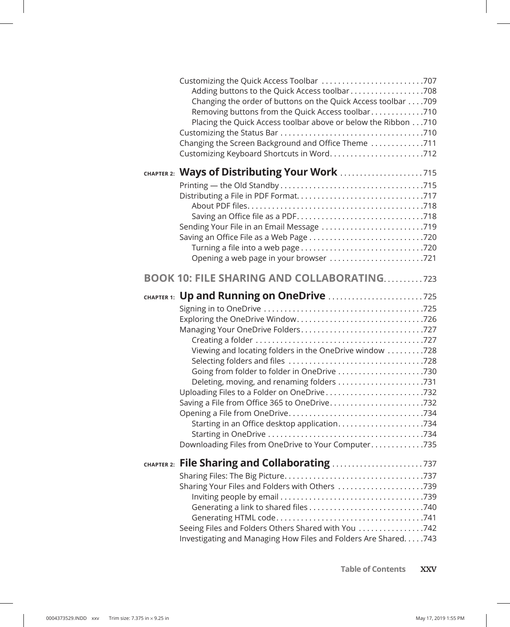| Adding buttons to the Quick Access toolbar708<br>Changing the order of buttons on the Quick Access toolbar 709<br>Removing buttons from the Quick Access toolbar710<br>Placing the Quick Access toolbar above or below the Ribbon 710<br>Changing the Screen Background and Office Theme 711 |  |
|----------------------------------------------------------------------------------------------------------------------------------------------------------------------------------------------------------------------------------------------------------------------------------------------|--|
| Sending Your File in an Email Message 719                                                                                                                                                                                                                                                    |  |
| <b>BOOK 10: FILE SHARING AND COLLABORATING723</b>                                                                                                                                                                                                                                            |  |
| Viewing and locating folders in the OneDrive window 728<br>Uploading Files to a Folder on OneDrive732<br>Saving a File from Office 365 to OneDrive732<br>Starting in an Office desktop application734<br>Downloading Files from OneDrive to Your Computer735                                 |  |
| Sharing Your Files and Folders with Others 739<br>Seeing Files and Folders Others Shared with You 742<br>Investigating and Managing How Files and Folders Are Shared743                                                                                                                      |  |

**Table of Contents** xxv

 $\overline{\phantom{a}}$ 

 $\mathcal{L}$